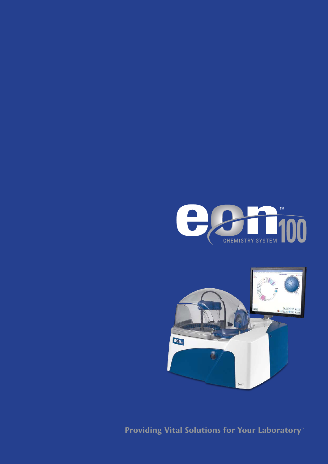



**Providing Vital Solutions for Your Laboratory**™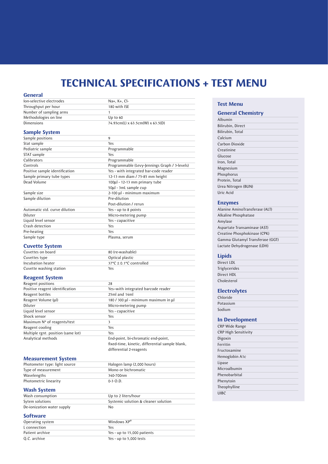# **TECHNICAL SPECIFICATIONS + TEST MENU**

# **General**

| lon-selective electrodes | Na+, K+, Cl-                     |
|--------------------------|----------------------------------|
| Throughput per hour      | 180 with ISE                     |
| Number of sampling arms  |                                  |
| Methodologies on line    | Up to $60$                       |
| Dimensions               | 74.93cm(L) x 63.5cm(W) x 63.5(D) |

## **Sample System**

| Sample positions               | 9                                             |
|--------------------------------|-----------------------------------------------|
| Stat sample                    | Yes                                           |
| Pediatric sample               | Programmable                                  |
| STAT sample                    | Yes                                           |
| Calibrators                    | Programmable                                  |
| Controls                       | Programmable (Levy-Jennings Graph / 3-levels) |
| Positive sample identification | Yes - with integrated bar-code reader         |
| Sample primary tube types      | 12-13 mm diam / 75-85 mm height               |
| Dead Volume                    | 100µl - 12-13 mm primary tube                 |
|                                | 50µl - 3mL sample cup                         |
| Sample size                    | 2-100 µl - minimum maximum                    |
| Sample dilution                | Pre-dilution                                  |
|                                | Post-dilution / rerun                         |
| Automatic std. curve dilution  | Yes - up to 8 points                          |
| Diluter                        | Micro-metering pump                           |
| Liquid level sensor            | Yes - capacitive                              |
| Crash detection                | Yes                                           |
| Pre-heating                    | Yes                                           |
| Sample type                    | Plasma, serum                                 |

### **Cuvette System**

| Cuvettes on board       | 80 (re-washable)                                 |
|-------------------------|--------------------------------------------------|
| Cuvettes type           | Optical plastic                                  |
| Incubation heater       | $37^{\circ}$ C $\pm$ 0.1 $^{\circ}$ C controlled |
| Cuvette washing station | Yes                                              |

# **Reagent System**

| Reagent positions                  | 28                                           |
|------------------------------------|----------------------------------------------|
| Positive reagent identification    | Yes-with integrated barcode reader           |
| Reagent bottles                    | 25ml and 14ml                                |
| Reagent Volume (µl)                | 180 / 300 µl - minimum maximum in µl         |
| Diluter                            | Micro-metering pump                          |
| Liquid level sensor                | Yes - capacitive                             |
| Shock sensor                       | Yes                                          |
| Maximum N° of reagents/test        | 3                                            |
| Reagent cooling                    | Yes                                          |
| Multiple rgnt. position (same lot) | Yes                                          |
| Analytical methods                 | End-point, bi-chromatic end-point,           |
|                                    | fived-time kinetic differential sample blank |

fixed-time, kinetic, differential sample blank, differential 2-reagents

## **Measurement System**

| Photometer type: light source | Halogen lamp (2,000 hours) |  |
|-------------------------------|----------------------------|--|
| Type of measurement           | Mono or bichromatic        |  |
| Wavelengths                   | 340-700nm                  |  |
| Photometric linearity         | $0-3$ $0.D.$               |  |

#### **Wash System**

| Up to 2 liters/hour                  |
|--------------------------------------|
| Systemic solution & cleaner solution |
| No                                   |
|                                      |

#### **Software**

| Operating system | Windows $XP^{\otimes}$      |
|------------------|-----------------------------|
| L connection     | Yes                         |
| Patient archive  | Yes - up to 15,000 patients |
| O.C. archive     | Yes - up to $5,000$ tests   |

### **Test Menu**

| <b>General Chemistry</b> |
|--------------------------|
| Albumin                  |
| Bilirubin, Direct        |
| Bilirubin, Total         |
| Calcium                  |
| Carbon Dioxide           |
| Creatinine               |
| Glucose                  |
| Iron, Total              |
| Magnesium                |
| Phosphorus               |
| Protein, Total           |
| Urea Nitrogen (BUN)      |
| Uric Acid                |

### **Enzymes**

| Alanine AminoTransferase (ALT)   |  |
|----------------------------------|--|
| Alkaline Phosphatase             |  |
| Amylase                          |  |
| Aspartate Transaminase (AST)     |  |
| Creatine Phosphokinase (CPK)     |  |
| Gamma Glutamyl Transferase (GGT) |  |
| Lactate Dehydrogenase (LDH)      |  |

# **Lipids**

| Direct LDL    |  |
|---------------|--|
| Triglycerides |  |
| Direct HDL    |  |
| Cholesterol   |  |

# **Electrolytes**

| Chloride  |  |
|-----------|--|
| Potassium |  |
| Sodium    |  |

# **In Development**

| <b>CRP Wide Range</b>       |
|-----------------------------|
| <b>CRP High Sensitivity</b> |
| Digoxin                     |
| Ferritin                    |
| Eructosamine                |
| Hemoglobin A1c              |
| Lipase                      |
| Microalbumin                |
| Phenobarbital               |
| Phenytoin                   |
| Theophylline                |
| UIBC                        |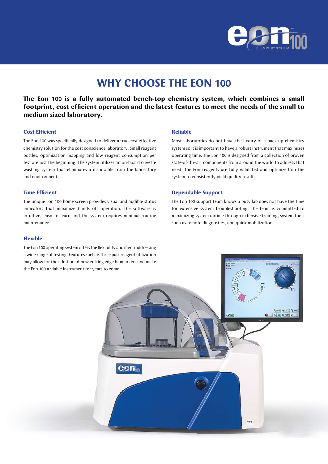

# **WHY CHOOSE THE EON 100**

**The Eon 100 is a fully automated bench-top chemistry system, which combines a small footprint, cost efficient operation and the latest features to meet the needs of the small to medium sized laboratory.**

## **Cost Efficient**

The Eon 100 was specifically designed to deliver a true cost effective chemistry solution for the cost conscience laboratory. Small reagent bottles, optimization mapping and low reagent consumption per test are just the beginning. The system utilizes an on-board cuvette washing system that eliminates a disposable from the laboratory and environment.

#### **Time Efficient**

The unique Eon 100 home screen provides visual and audible status indicators that maximize hands off operation. The software is intuitive, easy to learn and the system requires minimal routine maintenance.

## **Flexible**

The Eon 100 operating system offers the flexibility and menu addressing

#### **Reliable**

Most laboratories do not have the luxury of a back-up chemistry system so it is important to have a robust instrument that maximizes operating time. The Eon 100 is designed from a collection of proven state-of-the-art components from around the world to address that need. The Eon reagents are fully validated and optimized on the system to consistently yield quality results.

#### **Dependable Support**

The Eon 100 support team knows a busy lab does not have the time for extensive system troubleshooting. The team is committed to maximizing system uptime through extensive training, system tools such as remote diagnostics, and quick mobilization.

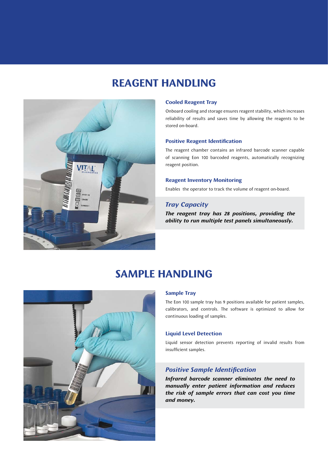# **REAGENT HANDLING**



### **Cooled Reagent Tray**

Onboard cooling and storage ensures reagent stability, which increases reliability of results and saves time by allowing the reagents to be stored on-board.

### **Positive Reagent Identification**

The reagent chamber contains an infrared barcode scanner capable of scanning Eon 100 barcoded reagents, automatically recognizing reagent position.

#### **Reagent Inventory Monitoring**

Enables the operator to track the volume of reagent on-board.

# *Tray Capacity*

*The reagent tray has 28 positions, providing the ability to run multiple test panels simultaneously.*

# **SAMPLE HANDLING**



The Eon 100 sample tray has 9 positions available for patient samples, calibrators, and controls. The software is optimized to allow for continuous loading of samples.

#### **Liquid Level Detection**

Liquid sensor detection prevents reporting of invalid results from insufficient samples.

# *Positive Sample Identification*

*Infrared barcode scanner eliminates the need to manually enter patient information and reduces the risk of sample errors that can cost you time and money.*

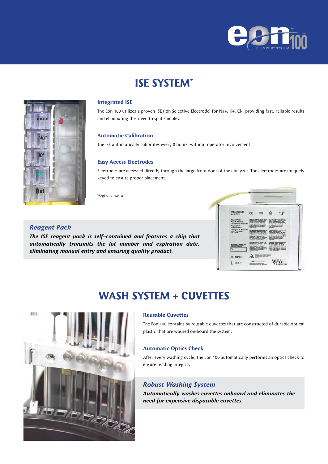

# **ISE SYSTEM\***



The Eon 100 utilizes a proven ISE (Ion Selective Electrode) for Na+, K+, Cl-, providing fast, reliable results and eliminating the need to split samples.

### **Automatic Calibration**

The ISE automatically calibrates every 8 hours, without operator involvement.

#### **Easy Access Electrodes**

Electrodes are accessed directly through the large front door of the analyzer. The electrodes are uniquely keyed to ensure proper placement.

\*Optional extra

## *Reagent Pack*

*The ISE reagent pack is self-contained and features a chip that automatically transmits the lot number and expiration date, eliminating manual entry and ensuring quality product.*



# **WASH SYSTEM + CUVETTES**



### **Reusable Cuvettes**

The Eon 100 contains 80 reusable cuvettes that are constructed of durable optical plastic that are washed on-board the system.

#### **Automatic Optics Check**

After every washing cycle, the Eon 100 automatically performs an optics check to ensure reading integrity.

# *Robust Washing System*

*Automatically washes cuvettes onboard and eliminates the need for expensive disposable cuvettes.*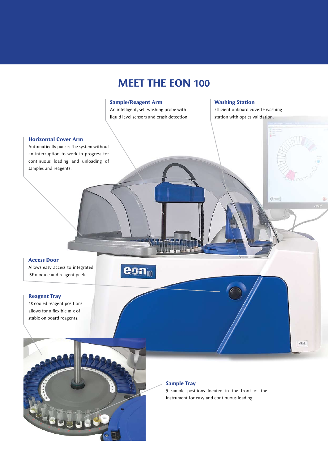# **MEET THE EON 100**

### **Sample/Reagent Arm**

An intelligent, self washing probe with liquid level sensors and crash detection.

## **Washing Station**

Efficient onboard cuvette washing station with optics validation.

 $\mathbb{G}^n$ 

**VITAL** 

#### **Horizontal Cover Arm**

Automatically pauses the system without an interruption to work in progress for continuous loading and unloading of samples and reagents.

### **Access Door**

Allows easy access to integrated ISE module and reagent pack.



### **Reagent Tray**

28 cooled reagent positions allows for a flexible mix of stable on board reagents.

### **Sample Tray**

9 sample positions located in the front of the instrument for easy and continuous loading.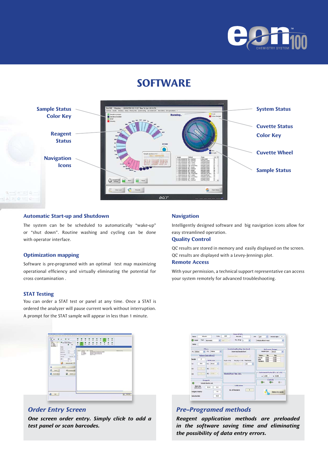

# **SOFTWARE**



# **Automatic Start-up and Shutdown**

The system can be be scheduled to automatically "wake-up" or "shut down". Routine washing and cycling can be done with operator interface.

#### **Optimization mapping**

Software is pre-programed with an optimal test map maximizing operational efficiency and virtually eliminating the potential for cross contamination .

### **STAT Testing**

You can order a STAT test or panel at any time. Once a STAT is ordered the analyzer will pause current work without interruption. A prompt for the STAT sample will appear in less than 1 minute.



# *Order Entry Screen*

*One screen order entry. Simply click to add a test panel or scan barcodes.*

## **Navigation**

Intelligently designed software and big navigation icons allow for easy streamlined operation.

# **Quality Control**

QC results are stored in memory and easily displayed on the screen. QC results are displayed with a Levey-Jennings plot.

# **Remote Access**

With your permission, a technical support representative can access your system remotely for advanced troubleshooting.



# *Pre-Programed methods*

*Reagent application methods are preloaded in the software saving time and eliminating the possibility of data entry errors.*